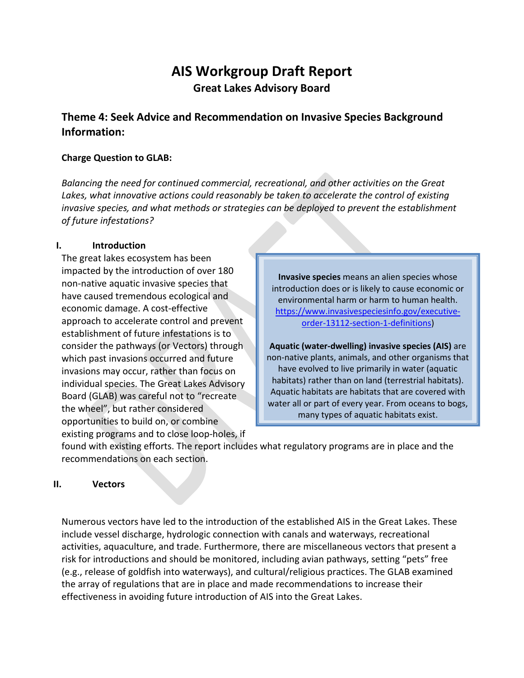# **AIS Workgroup Draft Report Great Lakes Advisory Board**

# **Theme 4: Seek Advice and Recommendation on Invasive Species Background Information:**

#### **Charge Question to GLAB:**

*Balancing the need for continued commercial, recreational, and other activities on the Great*  Lakes, what innovative actions could reasonably be taken to accelerate the control of existing *invasive species, and what methods or strategies can be deployed to prevent the establishment of future infestations?*

#### **I. Introduction**

The great lakes ecosystem has been impacted by the introduction of over 180 non-native aquatic invasive species that have caused tremendous ecological and economic damage. A cost-effective approach to accelerate control and prevent establishment of future infestations is to consider the pathways (or Vectors) through which past invasions occurred and future invasions may occur, rather than focus on individual species. The Great Lakes Advisory Board (GLAB) was careful not to "recreate the wheel", but rather considered opportunities to build on, or combine existing programs and to close loop-holes, if

**Invasive species** means an alien species whose introduction does or is likely to cause economic or environmental harm or harm to human health. [https://www.invasivespeciesinfo.gov/executive](https://www.invasivespeciesinfo.gov/executive-order-13112-section-1-definitions)[order-13112-section-1-definitions\)](https://www.invasivespeciesinfo.gov/executive-order-13112-section-1-definitions)

**Aquatic (water-dwelling) invasive species (AIS)** are non-native plants, animals, and other organisms that have evolved to live primarily in water (aquatic habitats) rather than on land (terrestrial habitats). Aquatic habitats are habitats that are covered with water all or part of every year. From oceans to bogs, many types of aquatic habitats exist.

found with existing efforts. The report includes what regulatory programs are in place and the recommendations on each section.

#### **II. Vectors**

Numerous vectors have led to the introduction of the established AIS in the Great Lakes. These include vessel discharge, hydrologic connection with canals and waterways, recreational activities, aquaculture, and trade. Furthermore, there are miscellaneous vectors that present a risk for introductions and should be monitored, including avian pathways, setting "pets" free (e.g., release of goldfish into waterways), and cultural/religious practices. The GLAB examined the array of regulations that are in place and made recommendations to increase their effectiveness in avoiding future introduction of AIS into the Great Lakes.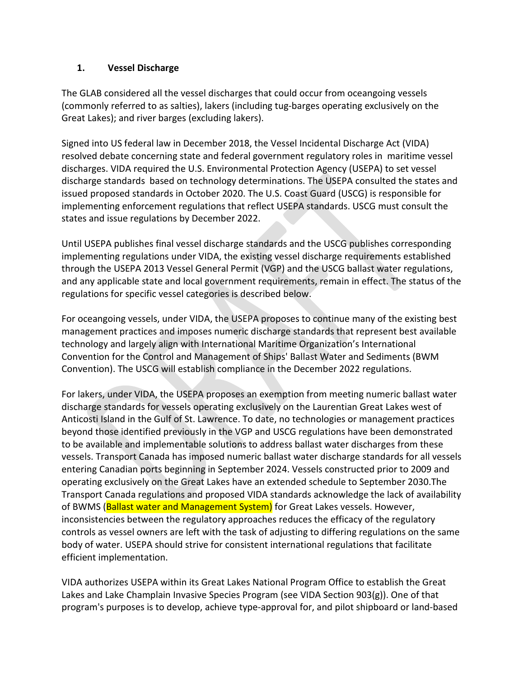#### **1. Vessel Discharge**

The GLAB considered all the vessel discharges that could occur from oceangoing vessels (commonly referred to as salties), lakers (including tug-barges operating exclusively on the Great Lakes); and river barges (excluding lakers).

Signed into US federal law in December 2018, the Vessel Incidental Discharge Act (VIDA) resolved debate concerning state and federal government regulatory roles in maritime vessel discharges. VIDA required the U.S. Environmental Protection Agency (USEPA) to set vessel discharge standards based on technology determinations. The USEPA consulted the states and issued proposed standards in October 2020. The U.S. Coast Guard (USCG) is responsible for implementing enforcement regulations that reflect USEPA standards. USCG must consult the states and issue regulations by December 2022.

Until USEPA publishes final vessel discharge standards and the USCG publishes corresponding implementing regulations under VIDA, the existing vessel discharge requirements established through the USEPA 2013 Vessel General Permit (VGP) and the USCG ballast water regulations, and any applicable state and local government requirements, remain in effect. The status of the regulations for specific vessel categories is described below.

For oceangoing vessels, under VIDA, the USEPA proposes to continue many of the existing best management practices and imposes numeric discharge standards that represent best available technology and largely align with International Maritime Organization's International Convention for the Control and Management of Ships' Ballast Water and Sediments (BWM Convention). The USCG will establish compliance in the December 2022 regulations.

For lakers, under VIDA, the USEPA proposes an exemption from meeting numeric ballast water discharge standards for vessels operating exclusively on the Laurentian Great Lakes west of Anticosti Island in the Gulf of St. Lawrence. To date, no technologies or management practices beyond those identified previously in the VGP and USCG regulations have been demonstrated to be available and implementable solutions to address ballast water discharges from these vessels. Transport Canada has imposed numeric ballast water discharge standards for all vessels entering Canadian ports beginning in September 2024. Vessels constructed prior to 2009 and operating exclusively on the Great Lakes have an extended schedule to September 2030.The Transport Canada regulations and proposed VIDA standards acknowledge the lack of availability of BWMS (Ballast water and Management System) for Great Lakes vessels. However, inconsistencies between the regulatory approaches reduces the efficacy of the regulatory controls as vessel owners are left with the task of adjusting to differing regulations on the same body of water. USEPA should strive for consistent international regulations that facilitate efficient implementation.

VIDA authorizes USEPA within its Great Lakes National Program Office to establish the Great Lakes and Lake Champlain Invasive Species Program (see VIDA Section 903(g)). One of that program's purposes is to develop, achieve type-approval for, and pilot shipboard or land-based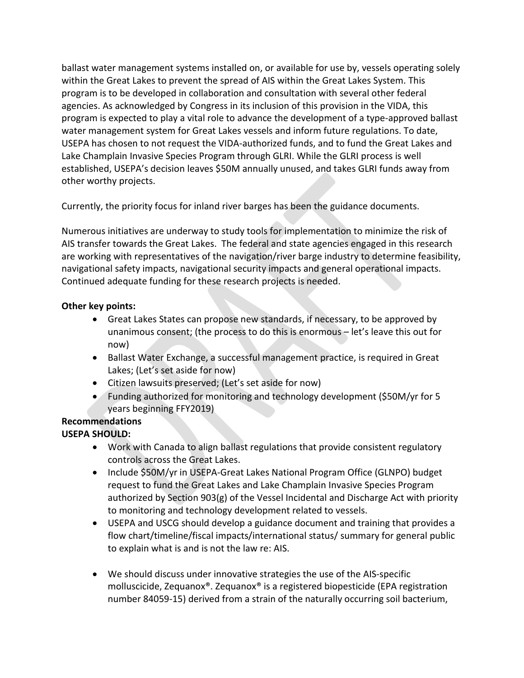ballast water management systems installed on, or available for use by, vessels operating solely within the Great Lakes to prevent the spread of AIS within the Great Lakes System. This program is to be developed in collaboration and consultation with several other federal agencies. As acknowledged by Congress in its inclusion of this provision in the VIDA, this program is expected to play a vital role to advance the development of a type-approved ballast water management system for Great Lakes vessels and inform future regulations. To date, USEPA has chosen to not request the VIDA-authorized funds, and to fund the Great Lakes and Lake Champlain Invasive Species Program through GLRI. While the GLRI process is well established, USEPA's decision leaves \$50M annually unused, and takes GLRI funds away from other worthy projects.

Currently, the priority focus for inland river barges has been the guidance documents.

Numerous initiatives are underway to study tools for implementation to minimize the risk of AIS transfer towards the Great Lakes. The federal and state agencies engaged in this research are working with representatives of the navigation/river barge industry to determine feasibility, navigational safety impacts, navigational security impacts and general operational impacts. Continued adequate funding for these research projects is needed.

## **Other key points:**

- Great Lakes States can propose new standards, if necessary, to be approved by unanimous consent; (the process to do this is enormous – let's leave this out for now)
- Ballast Water Exchange, a successful management practice, is required in Great Lakes; (Let's set aside for now)
- Citizen lawsuits preserved; (Let's set aside for now)
- Funding authorized for monitoring and technology development (\$50M/yr for 5 years beginning FFY2019)

# **Recommendations**

# **USEPA SHOULD:**

- Work with Canada to align ballast regulations that provide consistent regulatory controls across the Great Lakes.
- Include \$50M/yr in USEPA-Great Lakes National Program Office (GLNPO) budget request to fund the Great Lakes and Lake Champlain Invasive Species Program authorized by Section 903(g) of the Vessel Incidental and Discharge Act with priority to monitoring and technology development related to vessels.
- USEPA and USCG should develop a guidance document and training that provides a flow chart/timeline/fiscal impacts/international status/ summary for general public to explain what is and is not the law re: AIS.
- We should discuss under innovative strategies the use of the AIS-specific molluscicide, Zequanox®. Zequanox® is a registered biopesticide (EPA registration number 84059-15) derived from a strain of the naturally occurring soil bacterium,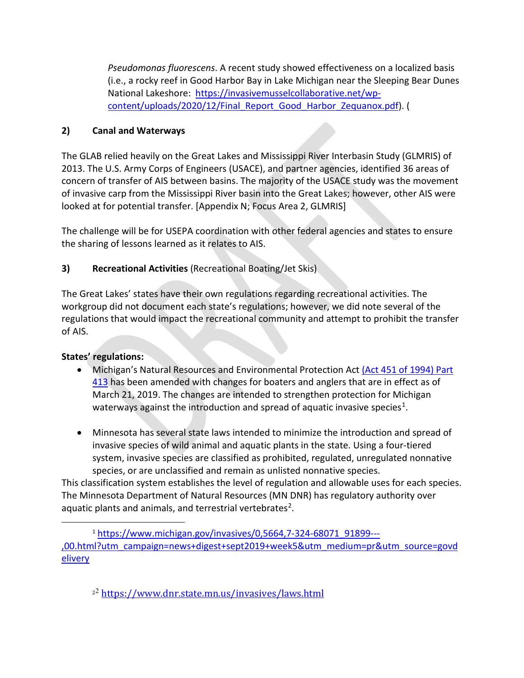*Pseudomonas fluorescens*. A recent study showed effectiveness on a localized basis (i.e., a rocky reef in Good Harbor Bay in Lake Michigan near the Sleeping Bear Dunes National Lakeshore: [https://invasivemusselcollaborative.net/wp](https://invasivemusselcollaborative.net/wp-content/uploads/2020/12/Final_Report_Good_Harbor_Zequanox.pdf)[content/uploads/2020/12/Final\\_Report\\_Good\\_Harbor\\_Zequanox.pdf\)](https://invasivemusselcollaborative.net/wp-content/uploads/2020/12/Final_Report_Good_Harbor_Zequanox.pdf). (

#### **2) Canal and Waterways**

The GLAB relied heavily on the Great Lakes and Mississippi River Interbasin Study (GLMRIS) of 2013. The U.S. Army Corps of Engineers (USACE), and partner agencies, identified 36 areas of concern of transfer of AIS between basins. The majority of the USACE study was the movement of invasive carp from the Mississippi River basin into the Great Lakes; however, other AIS were looked at for potential transfer. [Appendix N; Focus Area 2, GLMRIS]

The challenge will be for USEPA coordination with other federal agencies and states to ensure the sharing of lessons learned as it relates to AIS.

## **3) Recreational Activities** (Recreational Boating/Jet Skis)

The Great Lakes' states have their own regulations regarding recreational activities. The workgroup did not document each state's regulations; however, we did note several of the regulations that would impact the recreational community and attempt to prohibit the transfer of AIS.

#### **States' regulations:**

- Michigan's Natural Resources and Environmental Protection Act [\(Act 451 of 1994\) Part](http://www.legislature.mi.gov/(S(dol44qjsrrieya45sgjptg45))/documents/mcl/pdf/mcl-451-1994-III-2-1-WILDLIFE-CONSERVATION-413.pdf)  [413](http://www.legislature.mi.gov/(S(dol44qjsrrieya45sgjptg45))/documents/mcl/pdf/mcl-451-1994-III-2-1-WILDLIFE-CONSERVATION-413.pdf) has been amended with changes for boaters and anglers that are in effect as of March 21, 2019. The changes are intended to strengthen protection for Michigan waterways against the introduction and spread of aquatic invasive species<sup>1</sup>.
- Minnesota has several state laws intended to minimize the introduction and spread of invasive species of wild animal and aquatic plants in the state. Using a four-tiered system, invasive species are classified as prohibited, regulated, unregulated nonnative species, or are unclassified and remain as unlisted nonnative species.

This classification system establishes the level of regulation and allowable uses for each species. The Minnesota Department of Natural Resources (MN DNR) has regulatory authority over aquatic plants and animals, and terrestrial vertebrates<sup>2</sup>.

<span id="page-3-1"></span><span id="page-3-0"></span><sup>1</sup> [https://www.michigan.gov/invasives/0,5664,7-324-68071\\_91899---](https://www.michigan.gov/invasives/0,5664,7-324-68071_91899---,00.html?utm_campaign=news+digest+sept2019+week5&utm_medium=pr&utm_source=govdelivery) [,00.html?utm\\_campaign=news+digest+sept2019+week5&utm\\_medium=pr&utm\\_source=govd](https://www.michigan.gov/invasives/0,5664,7-324-68071_91899---,00.html?utm_campaign=news+digest+sept2019+week5&utm_medium=pr&utm_source=govdelivery) [elivery](https://www.michigan.gov/invasives/0,5664,7-324-68071_91899---,00.html?utm_campaign=news+digest+sept2019+week5&utm_medium=pr&utm_source=govdelivery)

<sup>22</sup> <https://www.dnr.state.mn.us/invasives/laws.html>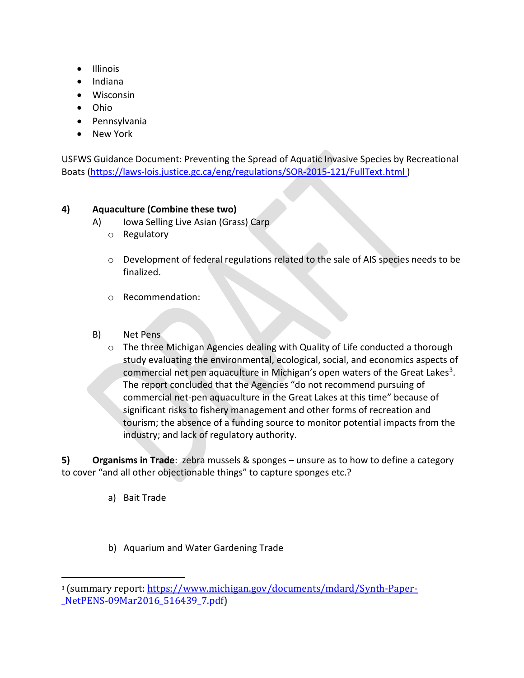- Illinois
- Indiana
- Wisconsin
- Ohio
- Pennsylvania
- New York

USFWS Guidance Document: Preventing the Spread of Aquatic Invasive Species by Recreational Boats [\(https://laws-lois.justice.gc.ca/eng/regulations/SOR-2015-121/FullText.html](https://laws-lois.justice.gc.ca/eng/regulations/SOR-2015-121/FullText.html) )

#### **4) Aquaculture (Combine these two)**

- A) Iowa Selling Live Asian (Grass) Carp
	- o Regulatory
	- o Development of federal regulations related to the sale of AIS species needs to be finalized.
	- o Recommendation:
- B) Net Pens
	- o The three Michigan Agencies dealing with Quality of Life conducted a thorough study evaluating the environmental, ecological, social, and economics aspects of commercial net pen aquaculture in Michigan's open waters of the Great Lakes<sup>[3](#page-4-0)</sup>. The report concluded that the Agencies "do not recommend pursuing of commercial net-pen aquaculture in the Great Lakes at this time" because of significant risks to fishery management and other forms of recreation and tourism; the absence of a funding source to monitor potential impacts from the industry; and lack of regulatory authority.

**5) Organisms in Trade**: zebra mussels & sponges – unsure as to how to define a category to cover "and all other objectionable things" to capture sponges etc.?

- a) Bait Trade
- b) Aquarium and Water Gardening Trade

<span id="page-4-0"></span><sup>3</sup> (summary report: [https://www.michigan.gov/documents/mdard/Synth-Paper-](https://www.michigan.gov/documents/mdard/Synth-Paper-_NetPENS-09Mar2016_516439_7.pdf) [\\_NetPENS-09Mar2016\\_516439\\_7.pdf\)](https://www.michigan.gov/documents/mdard/Synth-Paper-_NetPENS-09Mar2016_516439_7.pdf)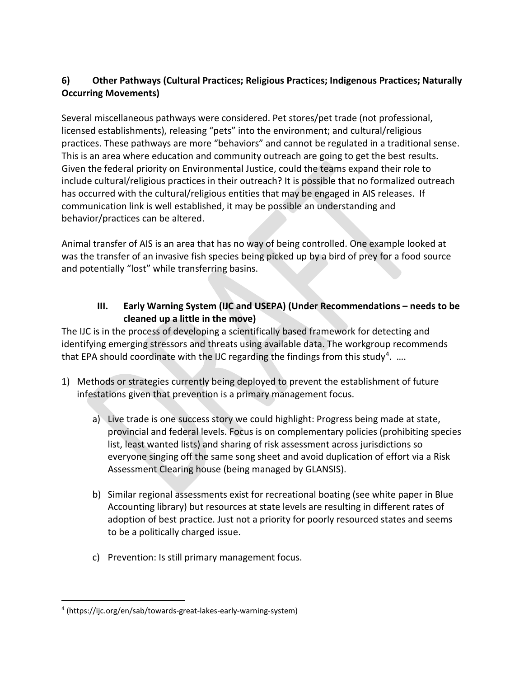## **6) Other Pathways (Cultural Practices; Religious Practices; Indigenous Practices; Naturally Occurring Movements)**

Several miscellaneous pathways were considered. Pet stores/pet trade (not professional, licensed establishments), releasing "pets" into the environment; and cultural/religious practices. These pathways are more "behaviors" and cannot be regulated in a traditional sense. This is an area where education and community outreach are going to get the best results. Given the federal priority on Environmental Justice, could the teams expand their role to include cultural/religious practices in their outreach? It is possible that no formalized outreach has occurred with the cultural/religious entities that may be engaged in AIS releases. If communication link is well established, it may be possible an understanding and behavior/practices can be altered.

Animal transfer of AIS is an area that has no way of being controlled. One example looked at was the transfer of an invasive fish species being picked up by a bird of prey for a food source and potentially "lost" while transferring basins.

## **III. Early Warning System (IJC and USEPA) (Under Recommendations – needs to be cleaned up a little in the move)**

The IJC is in the process of developing a scientifically based framework for detecting and identifying emerging stressors and threats using available data. The workgroup recommends that EPA should coordinate with the IJC regarding the findings from this study<sup>4</sup>. ....

- 1) Methods or strategies currently being deployed to prevent the establishment of future infestations given that prevention is a primary management focus.
	- a) Live trade is one success story we could highlight: Progress being made at state, provincial and federal levels. Focus is on complementary policies (prohibiting species list, least wanted lists) and sharing of risk assessment across jurisdictions so everyone singing off the same song sheet and avoid duplication of effort via a Risk Assessment Clearing house (being managed by GLANSIS).
	- b) Similar regional assessments exist for recreational boating (see white paper in Blue Accounting library) but resources at state levels are resulting in different rates of adoption of best practice. Just not a priority for poorly resourced states and seems to be a politically charged issue.
	- c) Prevention: Is still primary management focus.

<span id="page-5-0"></span><sup>&</sup>lt;sup>4</sup> [\(https://ijc.org/en/sab/towards-great-lakes-early-warning-system\)](https://ijc.org/en/sab/towards-great-lakes-early-warning-system)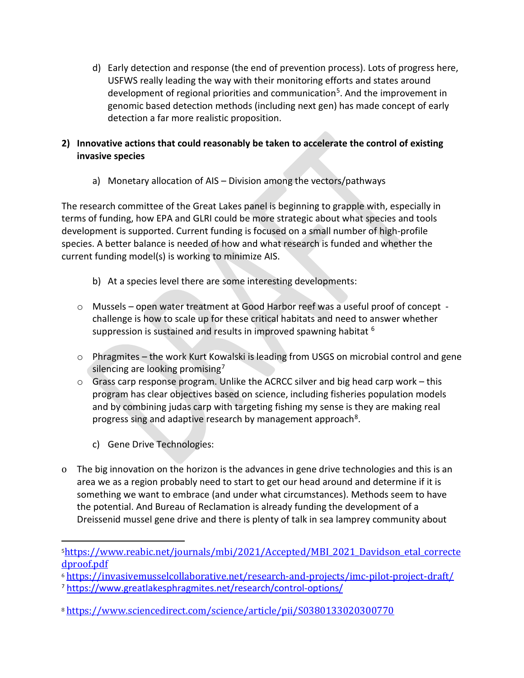d) Early detection and response (the end of prevention process). Lots of progress here, USFWS really leading the way with their monitoring efforts and states around development of regional priorities and communication<sup>[5](#page-6-0)</sup>. And the improvement in genomic based detection methods (including next gen) has made concept of early detection a far more realistic proposition.

## **2) Innovative actions that could reasonably be taken to accelerate the control of existing invasive species**

a) Monetary allocation of AIS – Division among the vectors/pathways

The research committee of the Great Lakes panel is beginning to grapple with, especially in terms of funding, how EPA and GLRI could be more strategic about what species and tools development is supported. Current funding is focused on a small number of high-profile species. A better balance is needed of how and what research is funded and whether the current funding model(s) is working to minimize AIS.

- b) At a species level there are some interesting developments:
- o Mussels open water treatment at Good Harbor reef was a useful proof of concept challenge is how to scale up for these critical habitats and need to answer whether suppression is sustained and results in improved spawning habitat <sup>[6](#page-6-1)</sup>
- o Phragmites the work Kurt Kowalski is leading from USGS on microbial control and gene silencing are looking promising<sup>[7](#page-6-2)</sup>
- $\circ$  Grass carp response program. Unlike the ACRCC silver and big head carp work this program has clear objectives based on science, including fisheries population models and by combining judas carp with targeting fishing my sense is they are making real progress sing and adaptive research by management approach<sup>[8](#page-6-3)</sup>.
	- c) Gene Drive Technologies:
- o The big innovation on the horizon is the advances in gene drive technologies and this is an area we as a region probably need to start to get our head around and determine if it is something we want to embrace (and under what circumstances). Methods seem to have the potential. And Bureau of Reclamation is already funding the development of a Dreissenid mussel gene drive and there is plenty of talk in sea lamprey community about

<span id="page-6-0"></span>[<sup>5</sup>https://www.reabic.net/journals/mbi/2021/Accepted/MBI\\_2021\\_Davidson\\_etal\\_correcte](https://www.reabic.net/journals/mbi/2021/Accepted/MBI_2021_Davidson_etal_correctedproof.pdf)

<span id="page-6-1"></span>[dproof.pdf](https://www.reabic.net/journals/mbi/2021/Accepted/MBI_2021_Davidson_etal_correctedproof.pdf)<br><sup>6</sup> https://invasivemusselcollaborative.net/research-and-projects/imc-pilot-project-draft/

<span id="page-6-2"></span><sup>&</sup>lt;sup>7</sup> https://www.greatlakesphragmites.net/research/control-options/

<span id="page-6-3"></span><sup>8</sup> <https://www.sciencedirect.com/science/article/pii/S0380133020300770>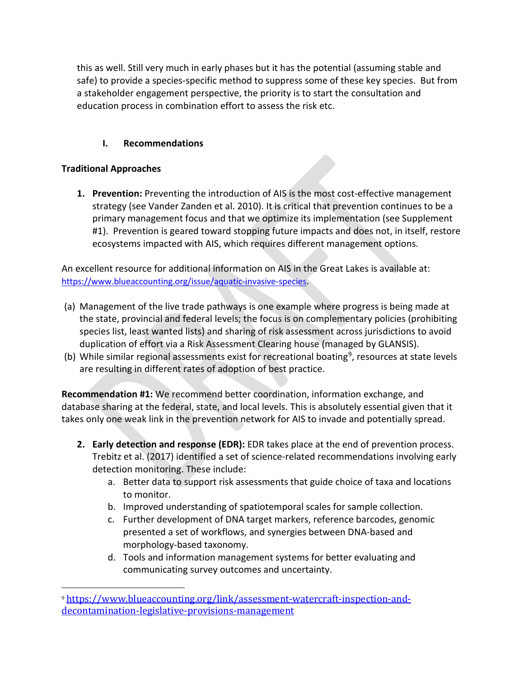this as well. Still very much in early phases but it has the potential (assuming stable and safe) to provide a species-specific method to suppress some of these key species. But from a stakeholder engagement perspective, the priority is to start the consultation and education process in combination effort to assess the risk etc.

## **I. Recommendations**

#### **Traditional Approaches**

**1. Prevention:** Preventing the introduction of AIS is the most cost-effective management strategy (see Vander Zanden et al. 2010). It is critical that prevention continues to be a primary management focus and that we optimize its implementation (see Supplement #1). Prevention is geared toward stopping future impacts and does not, in itself, restore ecosystems impacted with AIS, which requires different management options.

An excellent resource for additional information on AIS in the Great Lakes is available at: [https://www.blueaccounting.org/issue/aquatic-invasive-species.](https://www.blueaccounting.org/issue/aquatic-invasive-species)

- (a) Management of the live trade pathways is one example where progress is being made at the state, provincial and federal levels; the focus is on complementary policies (prohibiting species list, least wanted lists) and sharing of risk assessment across jurisdictions to avoid duplication of effort via a Risk Assessment Clearing house (managed by GLANSIS).
- (b) While similar regional assessments exist for recreational boating<sup>[9](#page-7-0)</sup>, resources at state levels are resulting in different rates of adoption of best practice.

**Recommendation #1:** We recommend better coordination, information exchange, and database sharing at the federal, state, and local levels. This is absolutely essential given that it takes only one weak link in the prevention network for AIS to invade and potentially spread.

- **2. Early detection and response (EDR):** EDR takes place at the end of prevention process. Trebitz et al. (2017) identified a set of science-related recommendations involving early detection monitoring. These include:
	- a. Better data to support risk assessments that guide choice of taxa and locations to monitor.
	- b. Improved understanding of spatiotemporal scales for sample collection.
	- c. Further development of DNA target markers, reference barcodes, genomic presented a set of workflows, and synergies between DNA-based and morphology-based taxonomy.
	- d. Tools and information management systems for better evaluating and communicating survey outcomes and uncertainty.

<span id="page-7-0"></span><sup>9</sup> [https://www.blueaccounting.org/link/assessment-watercraft-inspection-and](https://www.blueaccounting.org/link/assessment-watercraft-inspection-and-decontamination-legislative-provisions-management)[decontamination-legislative-provisions-management](https://www.blueaccounting.org/link/assessment-watercraft-inspection-and-decontamination-legislative-provisions-management)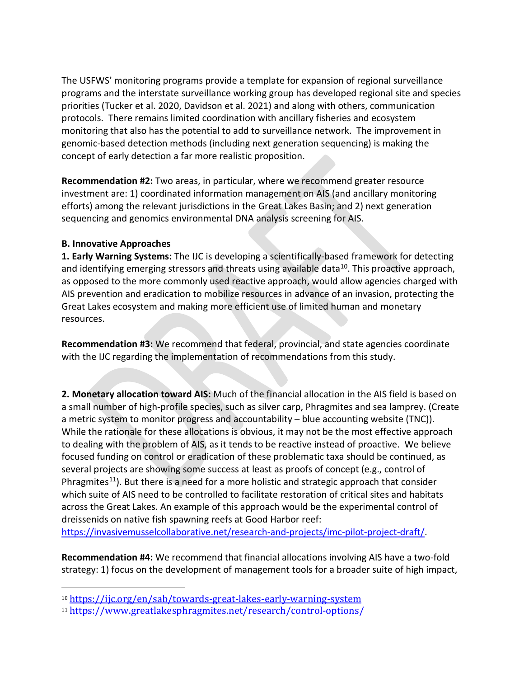The USFWS' monitoring programs provide a template for expansion of regional surveillance programs and the interstate surveillance working group has developed regional site and species priorities (Tucker et al. 2020, Davidson et al. 2021) and along with others, communication protocols. There remains limited coordination with ancillary fisheries and ecosystem monitoring that also has the potential to add to surveillance network. The improvement in genomic-based detection methods (including next generation sequencing) is making the concept of early detection a far more realistic proposition.

**Recommendation #2:** Two areas, in particular, where we recommend greater resource investment are: 1) coordinated information management on AIS (and ancillary monitoring efforts) among the relevant jurisdictions in the Great Lakes Basin; and 2) next generation sequencing and genomics environmental DNA analysis screening for AIS.

#### **B. Innovative Approaches**

**1. Early Warning Systems:** The IJC is developing a scientifically-based framework for detecting and identifying emerging stressors and threats using available data<sup>[10](#page-8-0)</sup>. This proactive approach, as opposed to the more commonly used reactive approach, would allow agencies charged with AIS prevention and eradication to mobilize resources in advance of an invasion, protecting the Great Lakes ecosystem and making more efficient use of limited human and monetary resources.

**Recommendation #3:** We recommend that federal, provincial, and state agencies coordinate with the IJC regarding the implementation of recommendations from this study.

**2. Monetary allocation toward AIS:** Much of the financial allocation in the AIS field is based on a small number of high-profile species, such as silver carp, Phragmites and sea lamprey. (Create a metric system to monitor progress and accountability – blue accounting website (TNC)). While the rationale for these allocations is obvious, it may not be the most effective approach to dealing with the problem of AIS, as it tends to be reactive instead of proactive. We believe focused funding on control or eradication of these problematic taxa should be continued, as several projects are showing some success at least as proofs of concept (e.g., control of Phragmites<sup>11</sup>). But there is a need for a more holistic and strategic approach that consider which suite of AIS need to be controlled to facilitate restoration of critical sites and habitats across the Great Lakes. An example of this approach would be the experimental control of dreissenids on native fish spawning reefs at Good Harbor reef:

[https://invasivemusselcollaborative.net/research-and-projects/imc-pilot-project-draft/.](https://invasivemusselcollaborative.net/research-and-projects/imc-pilot-project-draft/)

**Recommendation #4:** We recommend that financial allocations involving AIS have a two-fold strategy: 1) focus on the development of management tools for a broader suite of high impact,

<span id="page-8-0"></span><sup>10</sup> <https://ijc.org/en/sab/towards-great-lakes-early-warning-system>

<span id="page-8-1"></span><sup>11</sup> [https://www.greatlakesphragmites.net/research/control-options/](https://www.greatlakesphragmites.net/research/control-options/))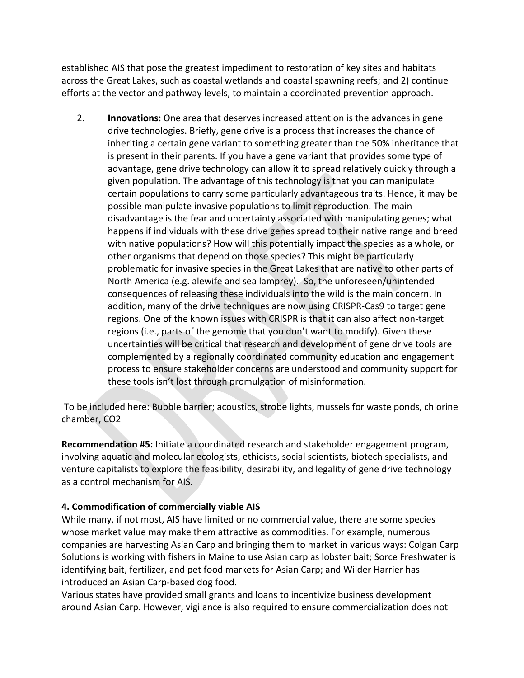established AIS that pose the greatest impediment to restoration of key sites and habitats across the Great Lakes, such as coastal wetlands and coastal spawning reefs; and 2) continue efforts at the vector and pathway levels, to maintain a coordinated prevention approach.

2. **Innovations:** One area that deserves increased attention is the advances in gene drive technologies. Briefly, gene drive is a process that increases the chance of inheriting a certain gene variant to something greater than the 50% inheritance that is present in their parents. If you have a gene variant that provides some type of advantage, gene drive technology can allow it to spread relatively quickly through a given population. The advantage of this technology is that you can manipulate certain populations to carry some particularly advantageous traits. Hence, it may be possible manipulate invasive populations to limit reproduction. The main disadvantage is the fear and uncertainty associated with manipulating genes; what happens if individuals with these drive genes spread to their native range and breed with native populations? How will this potentially impact the species as a whole, or other organisms that depend on those species? This might be particularly problematic for invasive species in the Great Lakes that are native to other parts of North America (e.g. alewife and sea lamprey). So, the unforeseen/unintended consequences of releasing these individuals into the wild is the main concern. In addition, many of the drive techniques are now using CRISPR-Cas9 to target gene regions. One of the known issues with CRISPR is that it can also affect non-target regions (i.e., parts of the genome that you don't want to modify). Given these uncertainties will be critical that research and development of gene drive tools are complemented by a regionally coordinated community education and engagement process to ensure stakeholder concerns are understood and community support for these tools isn't lost through promulgation of misinformation.

To be included here: Bubble barrier; acoustics, strobe lights, mussels for waste ponds, chlorine chamber, CO2

**Recommendation #5:** Initiate a coordinated research and stakeholder engagement program, involving aquatic and molecular ecologists, ethicists, social scientists, biotech specialists, and venture capitalists to explore the feasibility, desirability, and legality of gene drive technology as a control mechanism for AIS.

#### **4. Commodification of commercially viable AIS**

While many, if not most, AIS have limited or no commercial value, there are some species whose market value may make them attractive as commodities. For example, numerous companies are harvesting Asian Carp and bringing them to market in various ways: Colgan Carp Solutions is working with fishers in Maine to use Asian carp as lobster bait; Sorce Freshwater is identifying bait, fertilizer, and pet food markets for Asian Carp; and Wilder Harrier has introduced an Asian Carp-based dog food.

Various states have provided small grants and loans to incentivize business development around Asian Carp. However, vigilance is also required to ensure commercialization does not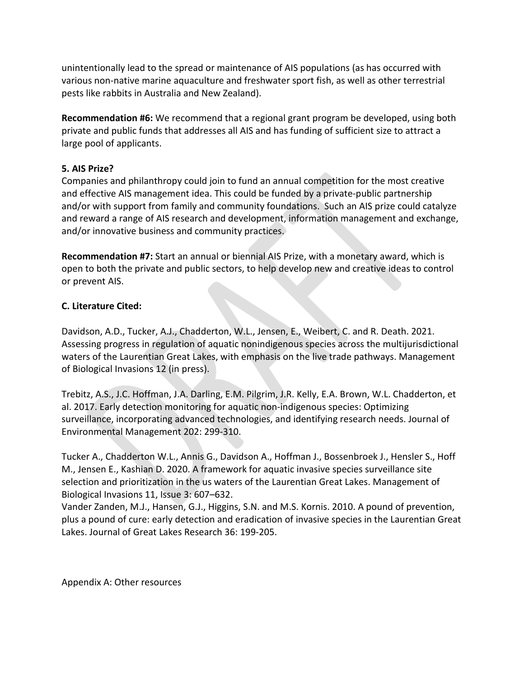unintentionally lead to the spread or maintenance of AIS populations (as has occurred with various non-native marine aquaculture and freshwater sport fish, as well as other terrestrial pests like rabbits in Australia and New Zealand).

**Recommendation #6:** We recommend that a regional grant program be developed, using both private and public funds that addresses all AIS and has funding of sufficient size to attract a large pool of applicants.

#### **5. AIS Prize?**

Companies and philanthropy could join to fund an annual competition for the most creative and effective AIS management idea. This could be funded by a private-public partnership and/or with support from family and community foundations. Such an AIS prize could catalyze and reward a range of AIS research and development, information management and exchange, and/or innovative business and community practices.

**Recommendation #7:** Start an annual or biennial AIS Prize, with a monetary award, which is open to both the private and public sectors, to help develop new and creative ideas to control or prevent AIS.

#### **C. Literature Cited:**

Davidson, A.D., Tucker, A.J., Chadderton, W.L., Jensen, E., Weibert, C. and R. Death. 2021. Assessing progress in regulation of aquatic nonindigenous species across the multijurisdictional waters of the Laurentian Great Lakes, with emphasis on the live trade pathways. Management of Biological Invasions 12 (in press).

Trebitz, A.S., J.C. Hoffman, J.A. Darling, E.M. Pilgrim, J.R. Kelly, E.A. Brown, W.L. Chadderton, et al. 2017. Early detection monitoring for aquatic non-indigenous species: Optimizing surveillance, incorporating advanced technologies, and identifying research needs. Journal of Environmental Management 202: 299-310.

Tucker A., Chadderton W.L., Annis G., Davidson A., Hoffman J., Bossenbroek J., Hensler S., Hoff M., Jensen E., Kashian D. 2020. A framework for aquatic invasive species surveillance site selection and prioritization in the us waters of the Laurentian Great Lakes. Management of Biological Invasions 11, Issue 3: 607–632.

Vander Zanden, M.J., Hansen, G.J., Higgins, S.N. and M.S. Kornis. 2010. A pound of prevention, plus a pound of cure: early detection and eradication of invasive species in the Laurentian Great Lakes. Journal of Great Lakes Research 36: 199-205.

Appendix A: Other resources